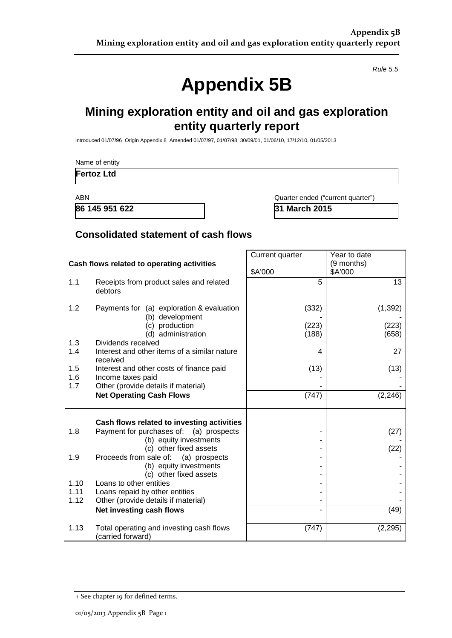*Rule 5.5*

# **Appendix 5B**

## **Mining exploration entity and oil and gas exploration entity quarterly report**

Introduced 01/07/96 Origin Appendix 8 Amended 01/07/97, 01/07/98, 30/09/01, 01/06/10, 17/12/10, 01/05/2013

|              | Name of entity                                                                        |                                   |                       |  |
|--------------|---------------------------------------------------------------------------------------|-----------------------------------|-----------------------|--|
|              | <b>Fertoz Ltd</b>                                                                     |                                   |                       |  |
| <b>ABN</b>   | 86 145 951 622                                                                        | Quarter ended ("current quarter") |                       |  |
|              |                                                                                       | 31 March 2015                     |                       |  |
|              | <b>Consolidated statement of cash flows</b>                                           |                                   |                       |  |
|              |                                                                                       | Current quarter                   | Year to date          |  |
|              | Cash flows related to operating activities                                            | \$A'000                           | (9 months)<br>\$A'000 |  |
| 1.1          | Receipts from product sales and related<br>debtors                                    | 5                                 | 13                    |  |
| 1.2          | Payments for (a) exploration & evaluation<br>(b) development                          | (332)                             | (1, 392)              |  |
|              | (c) production<br>(d) administration                                                  | (223)<br>(188)                    | (223)<br>(658)        |  |
| 1.3<br>1.4   | Dividends received<br>Interest and other items of a similar nature<br>received        | 4                                 | 27                    |  |
| 1.5<br>1.6   | Interest and other costs of finance paid<br>Income taxes paid                         | (13)                              | (13)                  |  |
| 1.7          | Other (provide details if material)<br><b>Net Operating Cash Flows</b>                | (747)                             | (2, 246)              |  |
|              |                                                                                       |                                   |                       |  |
| 1.8          | Cash flows related to investing activities<br>Payment for purchases of: (a) prospects |                                   | (27)                  |  |
|              | (b) equity investments<br>(c) other fixed assets                                      |                                   | (22)                  |  |
| 1.9          | Proceeds from sale of:<br>(a) prospects<br>(b) equity investments                     |                                   |                       |  |
| 1.10         | (c) other fixed assets<br>Loans to other entities                                     |                                   |                       |  |
| 1.11<br>1.12 | Loans repaid by other entities<br>Other (provide details if material)                 |                                   |                       |  |
|              | Net investing cash flows                                                              |                                   | (49)                  |  |
| 1.13         | Total operating and investing cash flows<br>(carried forward)                         | (747)                             | (2,295)               |  |

<sup>+</sup> See chapter 19 for defined terms.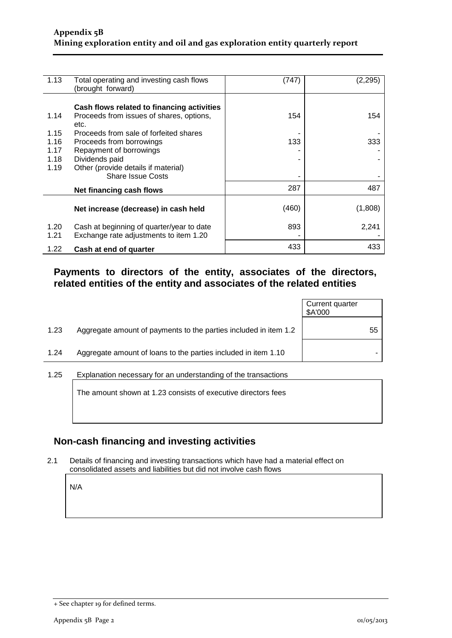| 1.13         | Total operating and investing cash flows<br>(brought forward)                       | (747) | (2,295) |
|--------------|-------------------------------------------------------------------------------------|-------|---------|
|              |                                                                                     |       |         |
|              | Cash flows related to financing activities                                          |       |         |
| 1.14         | Proceeds from issues of shares, options,<br>etc.                                    | 154   | 154     |
| 1.15         | Proceeds from sale of forfeited shares                                              |       |         |
| 1.16         | Proceeds from borrowings                                                            | 133   | 333     |
| 1.17         | Repayment of borrowings                                                             |       |         |
| 1.18         | Dividends paid                                                                      |       |         |
| 1.19         | Other (provide details if material)                                                 |       |         |
|              | <b>Share Issue Costs</b>                                                            |       |         |
|              | Net financing cash flows                                                            | 287   | 487     |
|              | Net increase (decrease) in cash held                                                | (460) | (1,808) |
| 1.20<br>1.21 | Cash at beginning of quarter/year to date<br>Exchange rate adjustments to item 1.20 | 893   | 2,241   |
| 1.22         | Cash at end of quarter                                                              | 433   | 433     |

#### **Payments to directors of the entity, associates of the directors, related entities of the entity and associates of the related entities**

|                                                                          | \$A'000 |
|--------------------------------------------------------------------------|---------|
| 1.23<br>Aggregate amount of payments to the parties included in item 1.2 | 55      |
| Aggregate amount of loans to the parties included in item 1.10<br>1.24   |         |

1.25 Explanation necessary for an understanding of the transactions

The amount shown at 1.23 consists of executive directors fees

#### **Non-cash financing and investing activities**

2.1 Details of financing and investing transactions which have had a material effect on consolidated assets and liabilities but did not involve cash flows

N/A

<sup>+</sup> See chapter 19 for defined terms.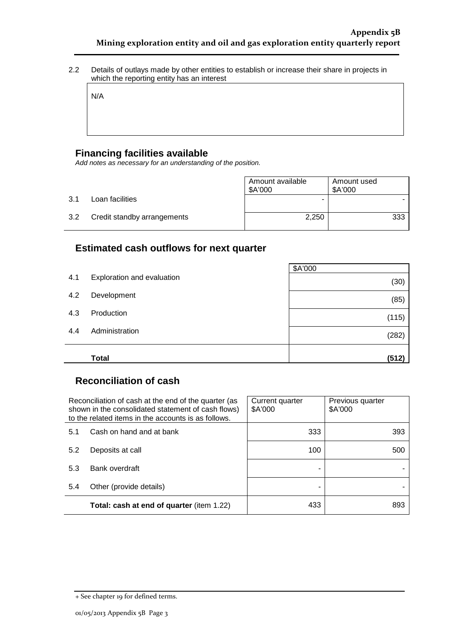2.2 Details of outlays made by other entities to establish or increase their share in projects in which the reporting entity has an interest

N/A

#### **Financing facilities available**

*Add notes as necessary for an understanding of the position.*

|     |                             | Amount available<br>\$A'000 | Amount used<br>\$A'000 |
|-----|-----------------------------|-----------------------------|------------------------|
| 3.1 | Loan facilities             | -                           |                        |
| 3.2 | Credit standby arrangements | 2,250                       | 333                    |

#### **Estimated cash outflows for next quarter**

|     |                            | \$A'000 |
|-----|----------------------------|---------|
| 4.1 | Exploration and evaluation | (30)    |
| 4.2 | Development                | (85)    |
| 4.3 | Production                 | (115)   |
| 4.4 | Administration             | (282)   |
|     | <b>Total</b>               | (512)   |

#### **Reconciliation of cash**

|     | Reconciliation of cash at the end of the quarter (as<br>shown in the consolidated statement of cash flows)<br>to the related items in the accounts is as follows. | Current quarter<br>\$A'000 | Previous quarter<br>\$A'000 |
|-----|-------------------------------------------------------------------------------------------------------------------------------------------------------------------|----------------------------|-----------------------------|
| 5.1 | Cash on hand and at bank                                                                                                                                          | 333                        | 393                         |
| 5.2 | Deposits at call                                                                                                                                                  | 100                        | 500                         |
| 5.3 | Bank overdraft                                                                                                                                                    |                            |                             |
| 5.4 | Other (provide details)                                                                                                                                           |                            |                             |
|     | Total: cash at end of quarter (item 1.22)                                                                                                                         | 433                        | 893                         |

<sup>+</sup> See chapter 19 for defined terms.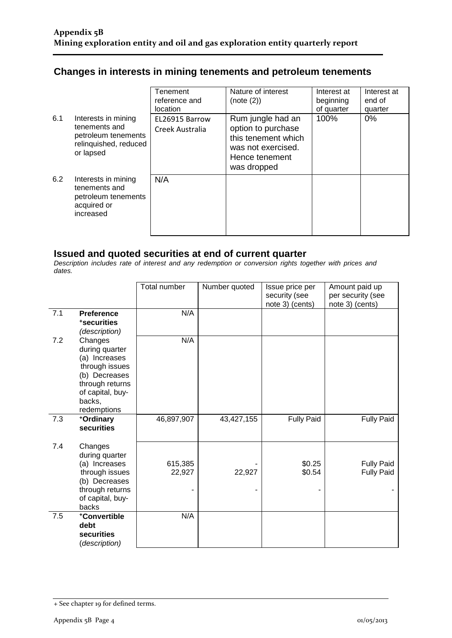### **Changes in interests in mining tenements and petroleum tenements**

|     |                                                                                                   | Tenement<br>reference and<br>location | Nature of interest<br>(note (2))                                                                                      | Interest at<br>beginning<br>of quarter | Interest at<br>end of<br>quarter |
|-----|---------------------------------------------------------------------------------------------------|---------------------------------------|-----------------------------------------------------------------------------------------------------------------------|----------------------------------------|----------------------------------|
| 6.1 | Interests in mining<br>tenements and<br>petroleum tenements<br>relinquished, reduced<br>or lapsed | EL26915 Barrow<br>Creek Australia     | Rum jungle had an<br>option to purchase<br>this tenement which<br>was not exercised.<br>Hence tenement<br>was dropped | 100%                                   | 0%                               |
| 6.2 | Interests in mining<br>tenements and<br>petroleum tenements<br>acquired or<br>increased           | N/A                                   |                                                                                                                       |                                        |                                  |

#### **Issued and quoted securities at end of current quarter**

*Description includes rate of interest and any redemption or conversion rights together with prices and dates.*

|     |                            | <b>Total number</b> | Number quoted | Issue price per   | Amount paid up    |
|-----|----------------------------|---------------------|---------------|-------------------|-------------------|
|     |                            |                     |               | security (see     | per security (see |
|     |                            |                     |               | note 3) (cents)   | note 3) (cents)   |
| 7.1 | <b>Preference</b>          | N/A                 |               |                   |                   |
|     | <i><b>*securities</b></i>  |                     |               |                   |                   |
|     | (description)              |                     |               |                   |                   |
| 7.2 | Changes                    | N/A                 |               |                   |                   |
|     | during quarter             |                     |               |                   |                   |
|     | (a) Increases              |                     |               |                   |                   |
|     | through issues             |                     |               |                   |                   |
|     | (b) Decreases              |                     |               |                   |                   |
|     | through returns            |                     |               |                   |                   |
|     | of capital, buy-<br>backs, |                     |               |                   |                   |
|     | redemptions                |                     |               |                   |                   |
| 7.3 | +Ordinary                  | 46,897,907          | 43,427,155    | <b>Fully Paid</b> | <b>Fully Paid</b> |
|     | securities                 |                     |               |                   |                   |
|     |                            |                     |               |                   |                   |
| 7.4 | Changes                    |                     |               |                   |                   |
|     | during quarter             |                     |               |                   |                   |
|     | (a) Increases              | 615,385             |               | \$0.25            | <b>Fully Paid</b> |
|     | through issues             | 22,927              | 22,927        | \$0.54            | <b>Fully Paid</b> |
|     | (b) Decreases              |                     |               |                   |                   |
|     | through returns            |                     |               |                   |                   |
|     | of capital, buy-           |                     |               |                   |                   |
|     | backs                      |                     |               |                   |                   |
| 7.5 | +Convertible               | N/A                 |               |                   |                   |
|     | debt                       |                     |               |                   |                   |
|     | securities                 |                     |               |                   |                   |
|     | (description)              |                     |               |                   |                   |

<sup>+</sup> See chapter 19 for defined terms.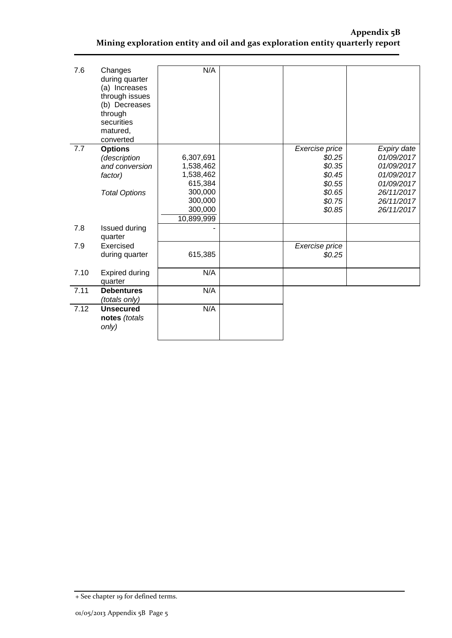#### **Appendix 5B Mining exploration entity and oil and gas exploration entity quarterly report**

| 7.6  | Changes<br>during quarter<br>(a) Increases<br>through issues<br>(b) Decreases<br>through<br>securities<br>matured,<br>converted | N/A        |                |             |
|------|---------------------------------------------------------------------------------------------------------------------------------|------------|----------------|-------------|
| 7.7  | <b>Options</b>                                                                                                                  |            | Exercise price | Expiry date |
|      | (description                                                                                                                    | 6,307,691  | \$0.25         | 01/09/2017  |
|      | and conversion                                                                                                                  | 1,538,462  | \$0.35         | 01/09/2017  |
|      | factor)                                                                                                                         | 1,538,462  | \$0.45         | 01/09/2017  |
|      |                                                                                                                                 | 615,384    | \$0.55         | 01/09/2017  |
|      | <b>Total Options</b>                                                                                                            | 300,000    | \$0.65         | 26/11/2017  |
|      |                                                                                                                                 | 300,000    | \$0.75         | 26/11/2017  |
|      |                                                                                                                                 | 300,000    | \$0.85         | 26/11/2017  |
|      |                                                                                                                                 | 10,899,999 |                |             |
| 7.8  | Issued during<br>quarter                                                                                                        |            |                |             |
| 7.9  | Exercised                                                                                                                       |            | Exercise price |             |
|      | during quarter                                                                                                                  | 615,385    | \$0.25         |             |
| 7.10 | <b>Expired during</b><br>quarter                                                                                                | N/A        |                |             |
| 7.11 | <b>Debentures</b>                                                                                                               | N/A        |                |             |
|      | (totals only)                                                                                                                   |            |                |             |
| 7.12 | <b>Unsecured</b><br>notes (totals<br>only)                                                                                      | N/A        |                |             |
|      |                                                                                                                                 |            |                |             |

<sup>+</sup> See chapter 19 for defined terms.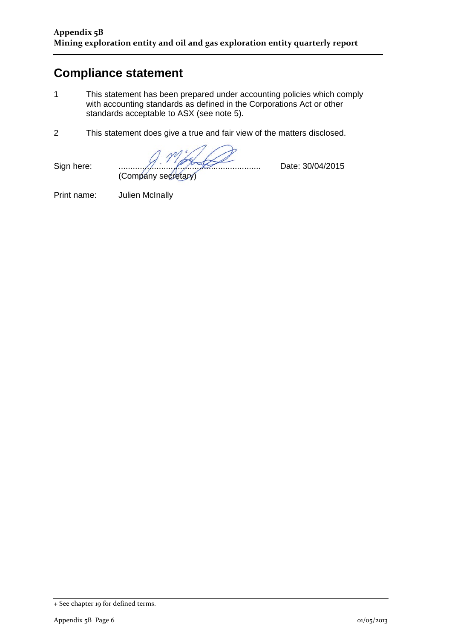## **Compliance statement**

- 1 This statement has been prepared under accounting policies which comply with accounting standards as defined in the Corporations Act or other standards acceptable to ASX (see note 5).
- 2 This statement does give a true and fair view of the matters disclosed.

Sign here: ............................................................ Date: 30/04/2015 (Company secretary)

Print name: Julien McInally

<sup>+</sup> See chapter 19 for defined terms.